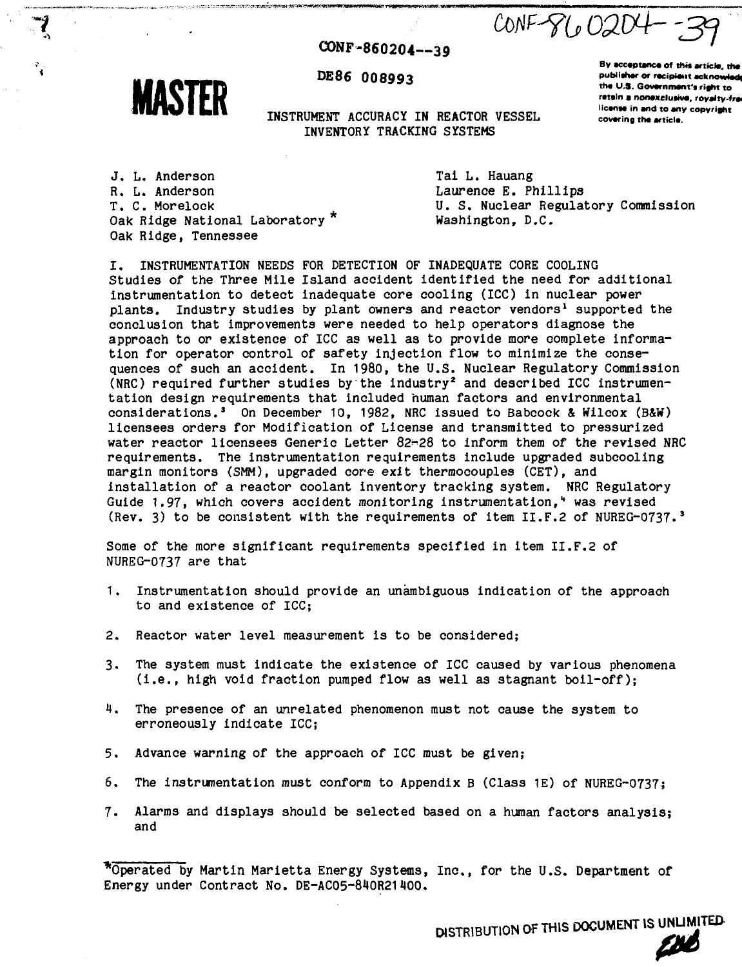**-3=1**  $CONF-GLO204$ 

# **CONP -860204—39**



**DE86 008993**

INSTRUMENT ACCURACY IN REACTOR VESSEL INVENTORY TRACKING SYSTEMS

**By accaptanca of thit articla, tha** publisher or recipient acknowled the U.S. Government's right to retain a nonexclusive, royalty-fre **licanaa in and to any copyright covaring tha articla.**

J. L. Anderson R. L. Anderson T. C. Morelock Oak Ridge National Laboratory<sup>\*</sup> Oak Ridge, Tennessee

Tai L. Hauang Laurence E. Phillips U. S. Nuclear Regulatory Commission Washington, D.C.

I. INSTRUMENTATION NEEDS FOR DETECTION OF INADEQUATE CORE COOLING Studies of the Three Mile Island accident identified the need for additional instrumentation to detect inadequate core cooling (ICC) in nuclear power plants. Industry studies by plant owners and reactor vendors<sup>1</sup> supported the conclusion that improvements were needed to help operators diagnose the approach to or existence of ICC as well as to provide more complete information for operator control of safety injection flow to minimize the consequences of such an accident. In 1980, the U.S. Nuclear Regulatory Commission  $(NRC)$  required further studies by the industry<sup>2</sup> and described ICC instrumentation design requirements that included human factors and environmental considerations.<sup>3</sup> On December 10, 1982, NRC issued to Babcock & Wilcox (B&W) licensees orders for Modification of License and transmitted to pressurized water reactor licensees Generic Letter 82-28 to inform them of the revised NRC requirements. The instrumentation requirements include upgraded subcooling margin monitors (SMM), upgraded core exit thermocouples (CET), and installation of a reactor coolant inventory tracking system. NRC Regulatory Guide 1.97, which covers accident monitoring instrumentation.<sup>4</sup> was revised (Rev. 3) to be consistent with the requirements of item II.F.2 of NUREG-0737.<sup>3</sup>

Some of the more significant requirements specified in item II.F.2 of NUREG-0737 are that

- 1. Instrumentation should provide an unambiguous indication of the approach to and existence of ICC;
- 2. Reactor water level measurement is to be considered;
- 3. The system must indicate the existence of ICC caused by various phenomena (i.e., high void fraction pumped flow as well as stagnant boil-off);
- 4. The presence of an unrelated phenomenon must not cause the system to erroneously indicate ICC;
- 5. Advance warning of the approach of ICC must be given;
- 6. The instrumentation must conform to Appendix B (Class 1E) of NUREG-0737;
- 7. Alarms and displays should be selected based on a human factors analysis; and

Operated by Martin Marietta Energy Systems, Inc., for the U.S. Department of Energy under Contract No. DE-AC05-810R21400.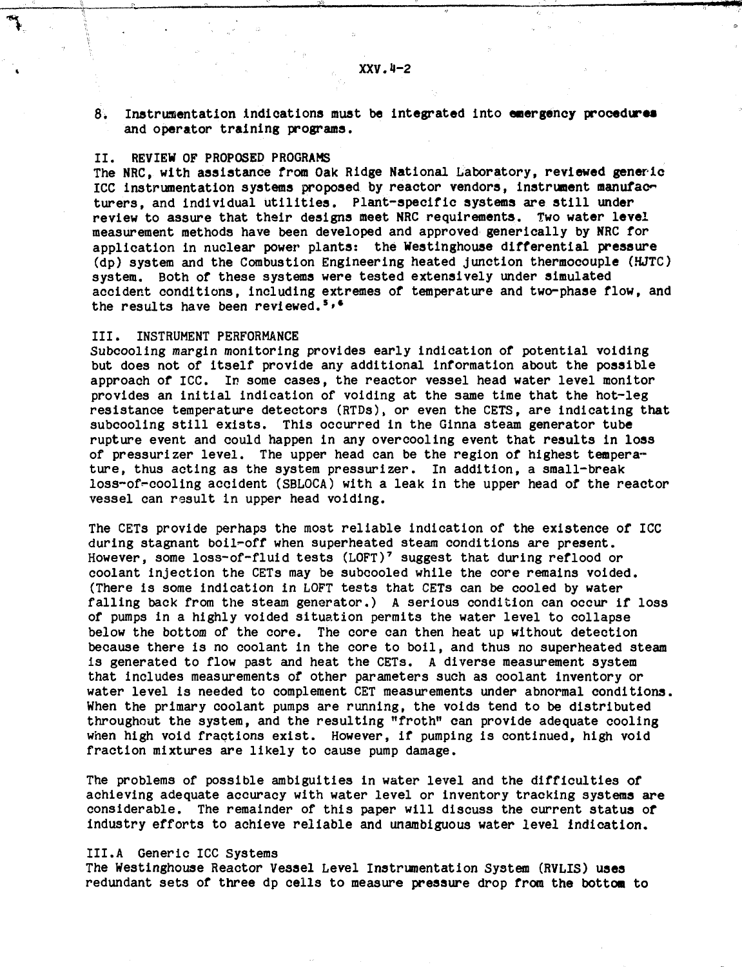**8. Instrumentation indications** must **be integrated** into **emergency procedure\* and operator training programs.**

## II. REVIEW OF PROPOSED PROGRAMS

**The NRC, with assistance from Oak Ridge National Laboratory, reviewed generic ICC instrumentation systems proposed by reactor vendors, instrument manufac" turers, and individual utilities. Plant-specific systems are still under review to assure that their designs meet NRC requirements. Two water level measurement methods have been developed and approved generically by NRC for application in nuclear power plants: the Westinghouse differential pressure (dp) system and the Combustion Engineering heated junction thermocouple (HJTC) system. Both of these systems were tested extensively under simulated accident conditions, including extremes of temperature and two-phase flow, and the results have been reviewed.\*»•**

#### III. INSTRUMENT PERFORMANCE

Subcooling margin monitoring provides early indication of potential voiding but does not of itself provide any additional information about the possible approach of ICC. In some cases, the reactor vessel head water level monitor provides an initial indication of voiding at the same time that the hot-leg resistance temperature detectors (RTDs), or even the CETS, are indicating that subcooling still exists. This occurred in the Ginna steam generator tube rupture event and could happen in any overcooling event that results in loss of pressurizer level. The upper head can be the region of highest temperature, thus acting as the system pressurizer. In addition, a small-break loss-of^-cooling accident (SBLOCA) with a leak in the upper head of the reactor vessel can result in upper head voiding.

The CETs provide perhaps the most reliable indication of the existence of ICC during stagnant boil-off when superheated steam conditions are present. However, some loss-of-fluid tests (LOFT)<sup>7</sup> suggest that during reflood or coolant injection the CETs may be subcooled while the core remains voided. (There is some indication in LOFT tests that CETs can be cooled by water falling back from the steam generator.) A serious condition can occur if loss of pumps in a highly voided situation permits the water level to collapse below the bottom of the core. The core can then heat up without detection because there is no coolant in the core to boil, and thus no superheated steam is generated to flow past and heat the CETs. A diverse measurement system that includes measurements of other parameters such as coolant inventory or water level is needed to complement CET measurements under abnormal conditions. When the primary coolant pumps are running, the voids tend to be distributed throughout the system, and the resulting "froth" can provide adequate cooling when high void fractions exist. However, if pumping is continued, high void fraction mixtures are likely to cause pump damage.

The problems of possible ambiguities in water level and the difficulties of achieving adequate accuracy with water level or inventory tracking systems are considerable. The remainder of this paper will discuss the current status of industry efforts to achieve reliable and unambiguous water level indication.

### III.A Generic ICC Systems

The Westinghouse Reactor Vessel Level Instrumentation System (RVLIS) **uses** redundant sets of three dp ceils to measure pressure drop from the **bottom to**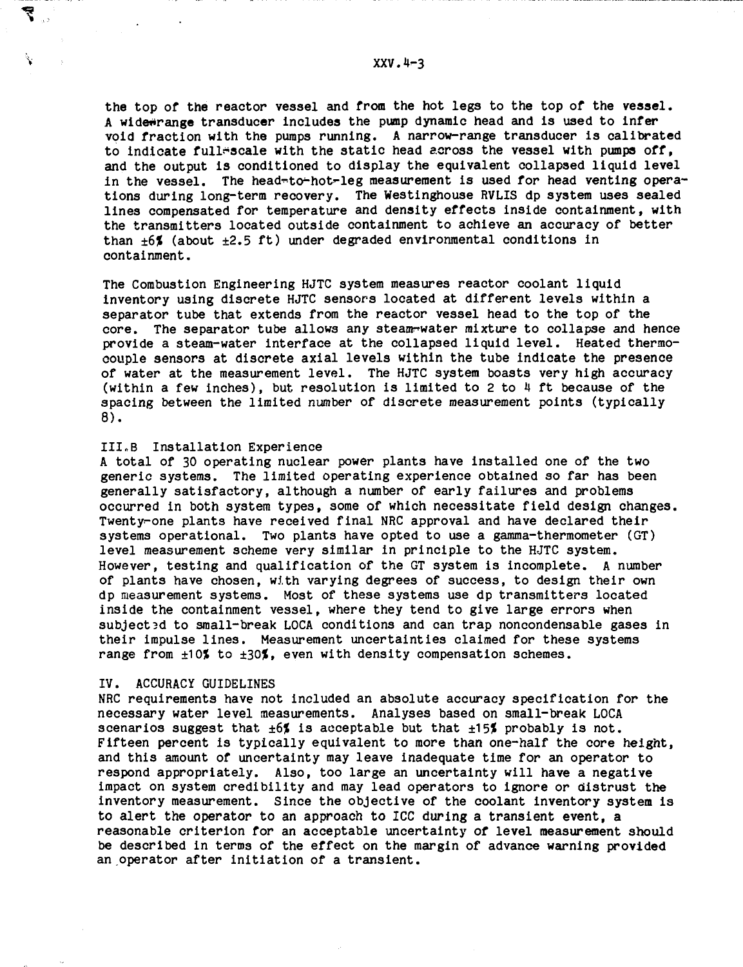the top of the reactor vessel and from the hot legs to the top of the vessel. A widewrange transducer includes the pump dynamic head and is used to infer void fraction with the pumps running. A narrow-range transducer is calibrated to indicate full-scale with the static head across the vessel with pumps off, and the output is conditioned to display the equivalent collapsed liquid level in the vessel. The head-to-hot-leg measurement is used for head venting operations during long-term recovery. The Westinghouse RVLIS dp system uses sealed lines compensated for temperature and density effects inside containment, with the transmitters located outside containment to achieve an accuracy of better than  $+6$ % (about  $+2.5$  ft) under degraded environmental conditions in containment.

The Combustion Engineering HJTC system measures reactor coolant liquid inventory using discrete HJTC sensors located at different levels within a separator tube that extends from the reactor vessel head to the top of the core. The separator tube allows any steam-water mixture to collapse and hence provide a steam-water interface at the collapsed liquid level. Heated thermocouple sensors at discrete axial levels within the tube indicate the presence of water at the measurement level. The HJTC system boasts very high accuracy (within a few inches), but resolution is limited to 2 to 4 ft because of the spacing between the limited number of discrete measurement points (typically 8).

# III.B Installation Experience

A total of 30 operating nuclear power plants have installed one of the two generic systems. The limited operating experience obtained so far has been generally satisfactory, although a number of early failures and problems occurred in both system types, some of which necessitate field design changes. Twenty-one plants have received final NRC approval and have declared their systems operational. Two plants have opted to use a gamma-thermometer (GT) level measurement scheme very similar in principle to the HJTC system. However, testing and qualification of the GT system is incomplete. A number of plants have chosen, with varying degrees of success, to design their own dp measurement systems. Most of these systems use dp transmitters located inside the containment vessel, where they tend to give large errors when subjected to small-break LOCA conditions and can trap noncondensable gases in their impulse lines. Measurement uncertainties claimed for these systems range from  $\pm 10$ % to  $\pm 30$ %, even with density compensation schemes.

#### IV. ACCURACY GUIDELINES

NRC requirements have not included an absolute accuracy specification for the necessary water level measurements. Analyses based on small-break LOCA scenarios suggest that  $\pm 6$  is acceptable but that  $\pm 15$  probably is not. Fifteen percent is typically equivalent to more than one-half the core height, and this amount of uncertainty may leave inadequate time for an operator to respond appropriately. Also, too large an uncertainty will have a negative impact on system credibility and may lead operators to ignore or distrust the inventory measurement. Since the objective of the coolant inventory system is to alert the operator to an approach to ICC during a transient event, a reasonable criterion for an acceptable uncertainty of level measurement should be described in terms of the effect on the margin of advance warning provided an operator after initiation of a transient.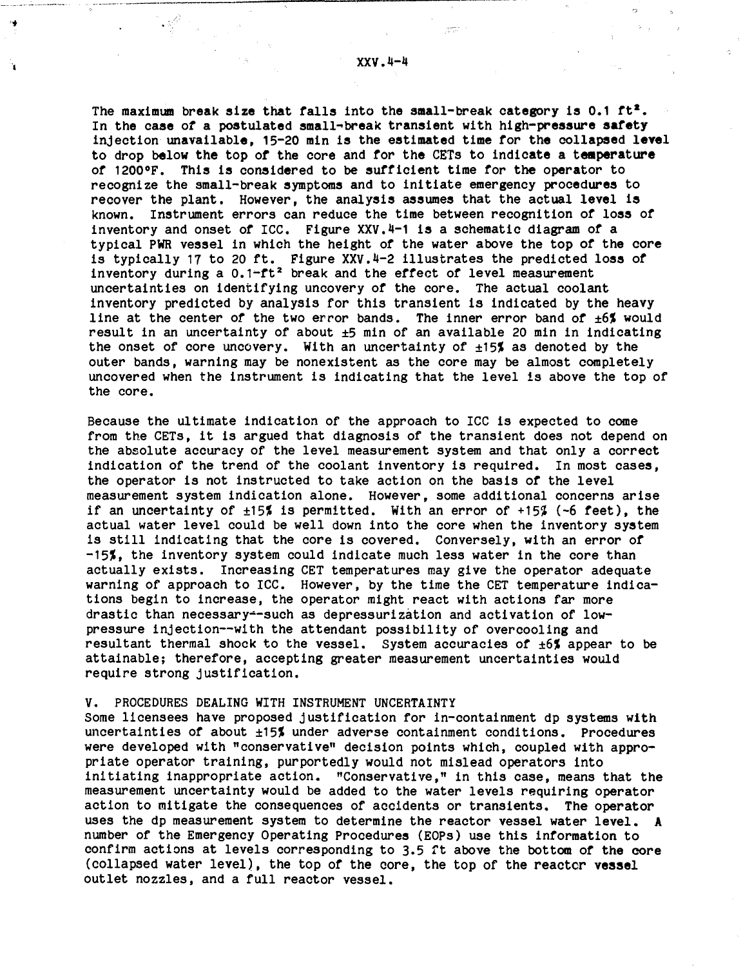'n

**The maximum break alze that falls into the small-break category is 0.1 ft\*. In the case of a postulated small-break transient with high-pressure safety injection unavailable, 15-20 min is the estimated time for the collapsed level to drop below the top of the core and for the CETs to indicate a temperature of 1200°F. This is considered to be sufficient time for the operator to recognize the small-break symptoms and to initiate emergency procedures to recover the plant. However, the analysis assumes that the actual level is known. Instrument errors can reduce the time between recognition of loss of inventory and onset of ICC. Figure XXV.1-1 is a schematic diagram of a typical PWR vessel in which the height of the water above the top of the core is typically 17 to 20 ft. Figure XXV.4-2 illustrates the predicted loss of inventory during a 0.1-ft<sup>2</sup> break and the effect of level measurement uncertainties on identifying uncovery of the core. The actual coolant inventory predicted by analysis for this transient is indicated by the heavy line at the center of the two error bands. The inner error band of ±6% would result in an uncertainty of about ±5 min of an available 20 min in indicating** the onset of core uncovery. With an uncertainty of  $\pm 15\frac{1}{2}$  as denoted by the **outer bands, warning may be nonexistent as the core may be almost completely uncovered when the instrument is indicating that the level is above the top of the core.**

**Because the ultimate indication of the approach to ICC is expected to come from the CETs, it is argued that diagnosis of the transient does not depend on the absolute accuracy of the level measurement system and that only a correct indication of the trend of the coolant inventory is required. In most cases, the operator is not instructed to take action on the basis of the level measurement system indication alone. However, some additional concerns arise if an uncertainty of ±15? is permitted. With an error of +15% (-6 feet), the actual water level could be well down into the core when the inventory system is still indicating that the core is covered. Conversely, with an error of** -15%, the inventory system could indicate much less water in the core than **actually exists. Increasing CET temperatures may give the operator adequate warning of approach to ICC. However, by the time the CET temperature indications begin to increase, the operator might react with actions far more drastic than necessary-such as depressurization and activation of lowpressure injection—with the attendant possibility of overcooling and resultant thermal shock to the vessel. System accuracies of ±6% appear to be attainable; therefore, accepting greater measurement uncertainties would require strong justification.**

## **V. PROCEDURES DEALING WITH INSTRUMENT UNCERTAINTY**

**Some licensees have proposed justification for in-containment dp systems with uncertainties of about ±15Jt under adverse containment conditions. Procedures were developed with "conservative" decision points which, coupled with appropriate operator training, purportedly would not mislead operators into initiating inappropriate action. "Conservative," in this case, means that the measurement uncertainty would be added to the water levels requiring operator action to mitigate the consequences of accidents or transients. The operator uses the dp measurement system to determine the reactor vessel water level. A number of the Emergency Operating Procedures (EOPs) use this information to confirm actions at levels corresponding to 3.5 ft above the bottom of the core (collapsed water level), the top of the core, the top of the reactcr vessel outlet nozzles, and a full reactor vessel.**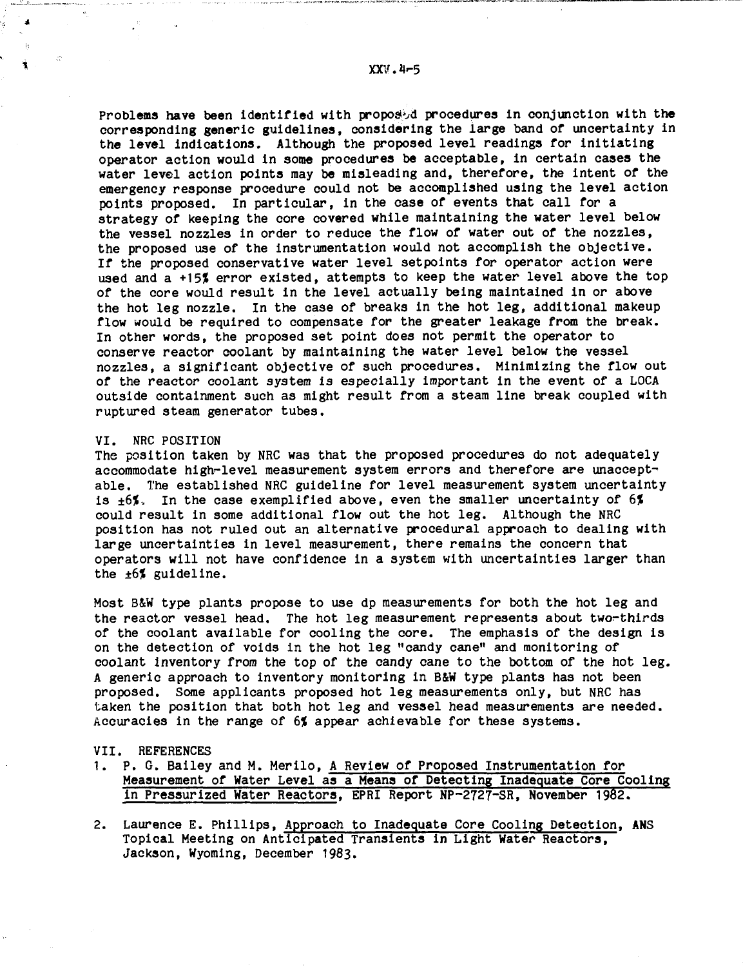Problems have been identified with proposed procedures in conjunction with the **corresponding generic guidelines, considering the large band of uncertainty in the level Indications. Although the proposed level readings for initiating operator action would in some procedures be acceptable, in certain cases the water level action points may be misleading and, therefore, the intent of the emergency response procedure could not be accomplished using the level action points proposed. In particular, in the case of events that call for a strategy of keeping the core covered while maintaining the water level below the vessel nozzles in order to reduce the flow of water out of the nozzles, the proposed use of the instrumentation would not accomplish the objective. If the proposed conservative water level setpoints for operator action were** used and a +15% error existed, attempts to keep the water level above the top **of the core would result in the level actually being maintained in or above the hot leg nozzle. In the case of breaks in the hot leg, additional makeup flow would be required to compensate for the greater leakage from the break. In other words, the proposed set point does not permit the operator to conserve reactor coolant by maintaining the water level below the vessel nozzles, a significant objective of such procedures. Minimizing the flow out of the reactor coolant system is especially important in the event of a LOCA outside containment such as might result from a steam line break coupled with ruptured steam generator tubes.**

#### **VI. NRC POSITION**

**The position taken by NRC was that the proposed procedures do not adequately accommodate high-level measurement system errors and therefore are unacceptable. The established NRC guideline for level measurement system uncertainty is ±6%. In the case exemplified above, even the smaller uncertainty of 6% could result in some additional flow out the hot leg. Although the NRC position has not ruled out an alternative procedural approach to dealing with large uncertainties in level measurement, there remains the concern that operators will not have confidence in a system with uncertainties larger than the ±6% guideline.**

**Most B&W type plants propose to use dp measurements for both the hot leg and** the reactor vessel head. The hot leg measurement represents about two-thirds **of the coolant available for cooling the core. The emphasis of the design is on the detection of voids in the hot leg "candy cane" and monitoring of coolant inventory from the top of the candy cane to the bottom of the hot leg. A generic approach to inventory monitoring in B&W type plants has not been proposed. Some applicants proposed hot leg measurements only, but NRC has taken the position that both hot leg and vessel head measurements are needed. Accuracies in the range of 6% appear achievable for these systems.**

#### **VII. REFERENCES**

- **1. P. G. Bailey and M. Merilo, A Review of Proposed Instrumentation for Measurement of Water Level as a Meana of Detecting Inadequate Core Cooling in Pressurized Water Reactors, EPRI Report NP-2727-SR, November 1982.**
- **2. Laurence E. Phillips, Approach to Inadequate Core Cooling Detection, ANS Topical Meeting on Anticipated Transients in Light Water Reactors, Jackson, Wyoming, December 1983.**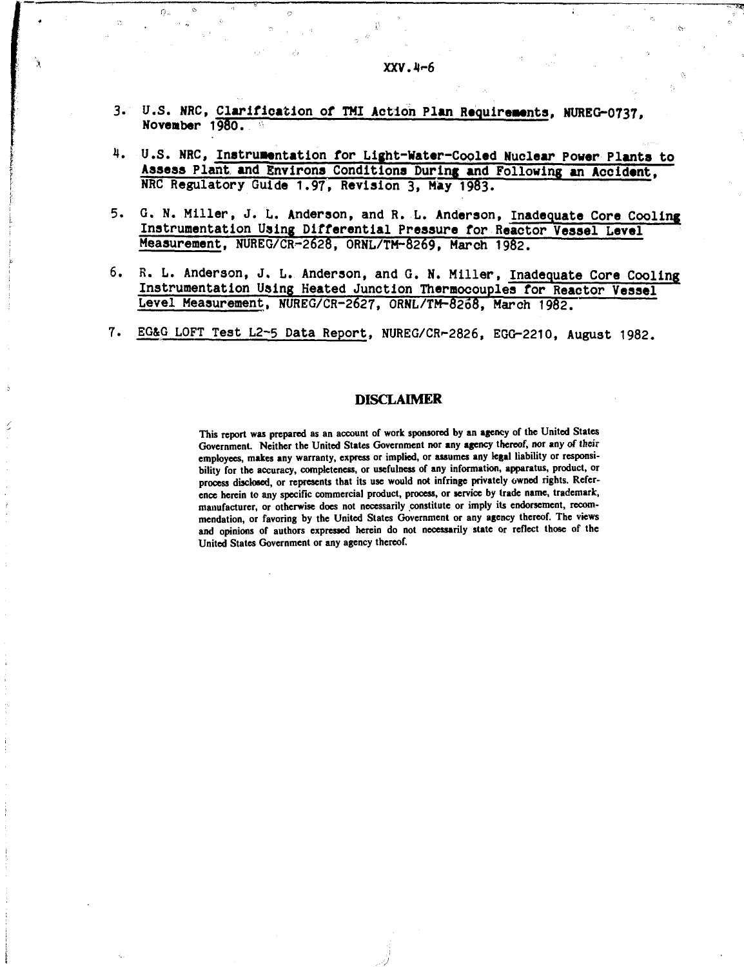t?,,

 $\overline{\phantom{a}}$ 

- 4. U.S. NRC, Instrumentation for Light-Water-Cooled Nuclear Power Plants to **Assess Plant and Environs Conditions During and Following an Accident, NRC Regulatory Guide 1.97, Revision 3, May 1983.**
- **5. G. N. Miller, J. L. Anderson, and R. L. Anderson, Inadequate Core Cooling Instrumentation Using Differential Pressure for Reactor Vessel Level Measurement, NUREG/CR-2628, ORNL/TM-8269, March 1982.**
- **6. R. L. Anderson, J. L. Anderson, and G. N. Miller, Inadequate Core Cooling Instrumentation Using Heated Junction Thermocouples for Reactor Vessel Level Measurement, NUREG/CR-2627, ORNL/TM-8268, March 1982.**
- **7. EG&G LOFT Test L2-5 Data Report, NUREG/CR--2826, EGC-2210, August 1982.**

## **DISCLAIMER**

**This report was prepared as an account of work sponsored by an agency of the United States Government. Neither the United States Government nor any agency thereof, nor any of their employees, makes any warranty, express or implied, or assumes any legal liability or responsibility for the accuracy, completeness, or usefulness of any information, apparatus, product, or process disclosed, or represents that its use would not infringe privately owned rights. Reference herein to any specific commercial product, process, or service by trade name, trademark, manufacturer, or otherwise does not necessarily constitute or imply its endorsement, recommendation, or favoring by the United States Government or any agency thereof. The views and opinions of authors expressed herein do not necessarily state or reflect those of the United States Government or any agency thereof.**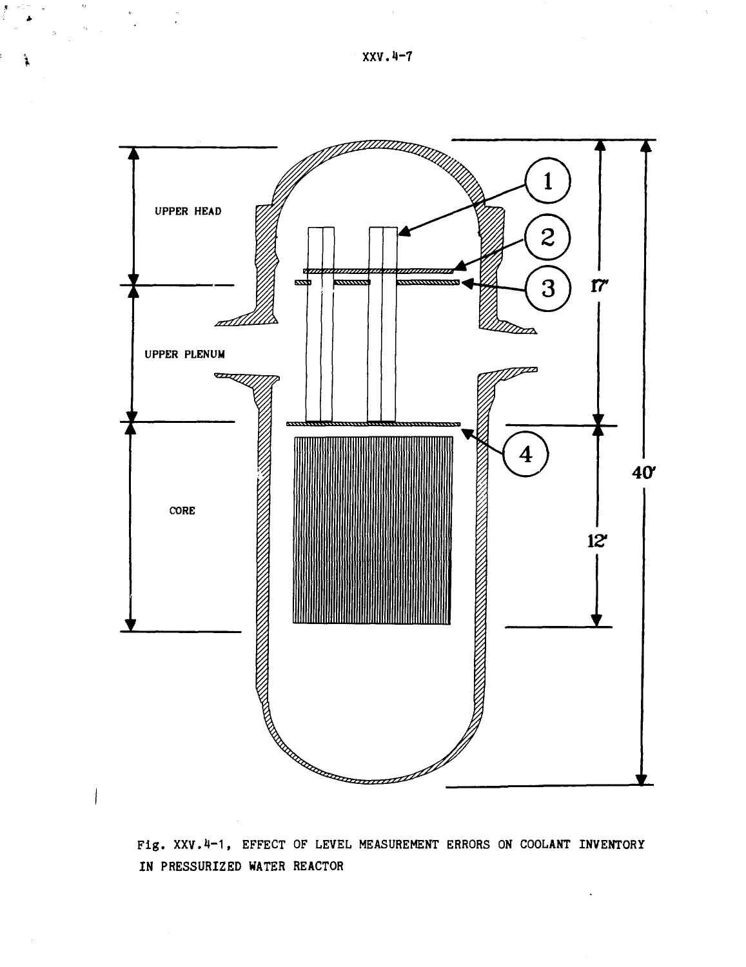

**Fig. XXV.H-1, EFFECT OF LEVEL MEASUREMENT ERRORS ON COOLANT INVENTORY IN PRESSURIZED WATER REACTOR**